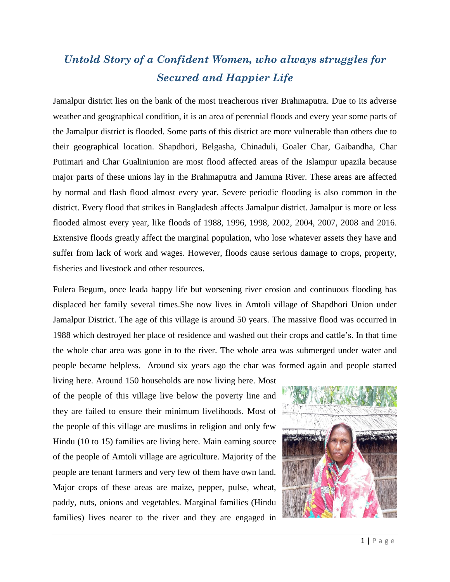## *Untold Story of a Confident Women, who always struggles for Secured and Happier Life*

Jamalpur district lies on the bank of the most treacherous river Brahmaputra. Due to its adverse weather and geographical condition, it is an area of perennial floods and every year some parts of the Jamalpur district is flooded. Some parts of this district are more vulnerable than others due to their geographical location. Shapdhori, Belgasha, Chinaduli, Goaler Char, Gaibandha, Char Putimari and Char Gualiniunion are most flood affected areas of the Islampur upazila because major parts of these unions lay in the Brahmaputra and Jamuna River. These areas are affected by normal and flash flood almost every year. Severe periodic flooding is also common in the district. Every flood that strikes in Bangladesh affects Jamalpur district. Jamalpur is more or less flooded almost every year, like floods of 1988, 1996, 1998, 2002, 2004, 2007, 2008 and 2016. Extensive floods greatly affect the marginal population, who lose whatever assets they have and suffer from lack of work and wages. However, floods cause serious damage to crops, property, fisheries and livestock and other resources.

Fulera Begum, once leada happy life but worsening river erosion and continuous flooding has displaced her family several times.She now lives in Amtoli village of Shapdhori Union under Jamalpur District. The age of this village is around 50 years. The massive flood was occurred in 1988 which destroyed her place of residence and washed out their crops and cattle's. In that time the whole char area was gone in to the river. The whole area was submerged under water and people became helpless. Around six years ago the char was formed again and people started

living here. Around 150 households are now living here. Most of the people of this village live below the poverty line and they are failed to ensure their minimum livelihoods. Most of the people of this village are muslims in religion and only few Hindu (10 to 15) families are living here. Main earning source of the people of Amtoli village are agriculture. Majority of the people are tenant farmers and very few of them have own land. Major crops of these areas are maize, pepper, pulse, wheat, paddy, nuts, onions and vegetables. Marginal families (Hindu families) lives nearer to the river and they are engaged in

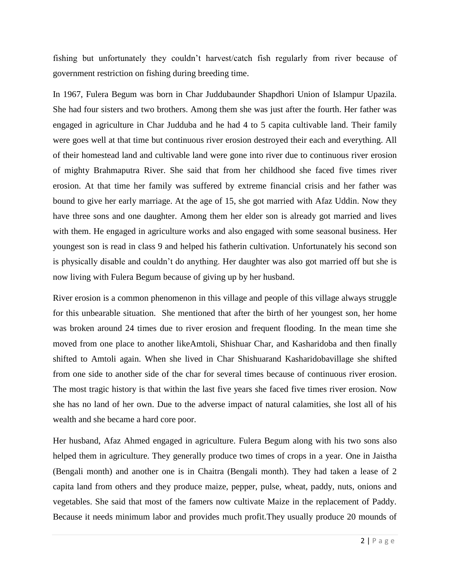fishing but unfortunately they couldn't harvest/catch fish regularly from river because of government restriction on fishing during breeding time.

In 1967, Fulera Begum was born in Char Juddubaunder Shapdhori Union of Islampur Upazila. She had four sisters and two brothers. Among them she was just after the fourth. Her father was engaged in agriculture in Char Judduba and he had 4 to 5 capita cultivable land. Their family were goes well at that time but continuous river erosion destroyed their each and everything. All of their homestead land and cultivable land were gone into river due to continuous river erosion of mighty Brahmaputra River. She said that from her childhood she faced five times river erosion. At that time her family was suffered by extreme financial crisis and her father was bound to give her early marriage. At the age of 15, she got married with Afaz Uddin. Now they have three sons and one daughter. Among them her elder son is already got married and lives with them. He engaged in agriculture works and also engaged with some seasonal business. Her youngest son is read in class 9 and helped his fatherin cultivation. Unfortunately his second son is physically disable and couldn't do anything. Her daughter was also got married off but she is now living with Fulera Begum because of giving up by her husband.

River erosion is a common phenomenon in this village and people of this village always struggle for this unbearable situation. She mentioned that after the birth of her youngest son, her home was broken around 24 times due to river erosion and frequent flooding. In the mean time she moved from one place to another likeAmtoli, Shishuar Char, and Kasharidoba and then finally shifted to Amtoli again. When she lived in Char Shishuarand Kasharidobavillage she shifted from one side to another side of the char for several times because of continuous river erosion. The most tragic history is that within the last five years she faced five times river erosion. Now she has no land of her own. Due to the adverse impact of natural calamities, she lost all of his wealth and she became a hard core poor.

Her husband, Afaz Ahmed engaged in agriculture. Fulera Begum along with his two sons also helped them in agriculture. They generally produce two times of crops in a year. One in Jaistha (Bengali month) and another one is in Chaitra (Bengali month). They had taken a lease of 2 capita land from others and they produce maize, pepper, pulse, wheat, paddy, nuts, onions and vegetables. She said that most of the famers now cultivate Maize in the replacement of Paddy. Because it needs minimum labor and provides much profit.They usually produce 20 mounds of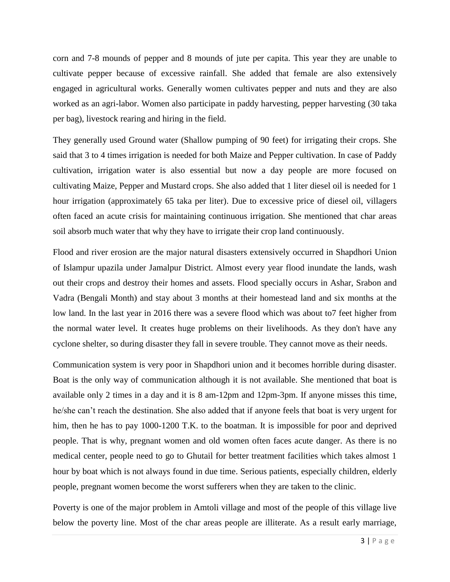corn and 7-8 mounds of pepper and 8 mounds of jute per capita. This year they are unable to cultivate pepper because of excessive rainfall. She added that female are also extensively engaged in agricultural works. Generally women cultivates pepper and nuts and they are also worked as an agri-labor. Women also participate in paddy harvesting, pepper harvesting (30 taka per bag), livestock rearing and hiring in the field.

They generally used Ground water (Shallow pumping of 90 feet) for irrigating their crops. She said that 3 to 4 times irrigation is needed for both Maize and Pepper cultivation. In case of Paddy cultivation, irrigation water is also essential but now a day people are more focused on cultivating Maize, Pepper and Mustard crops. She also added that 1 liter diesel oil is needed for 1 hour irrigation (approximately 65 taka per liter). Due to excessive price of diesel oil, villagers often faced an acute crisis for maintaining continuous irrigation. She mentioned that char areas soil absorb much water that why they have to irrigate their crop land continuously.

Flood and river erosion are the major natural disasters extensively occurred in Shapdhori Union of Islampur upazila under Jamalpur District. Almost every year flood inundate the lands, wash out their crops and destroy their homes and assets. Flood specially occurs in Ashar, Srabon and Vadra (Bengali Month) and stay about 3 months at their homestead land and six months at the low land. In the last year in 2016 there was a severe flood which was about to7 feet higher from the normal water level. It creates huge problems on their livelihoods. As they don't have any cyclone shelter, so during disaster they fall in severe trouble. They cannot move as their needs.

Communication system is very poor in Shapdhori union and it becomes horrible during disaster. Boat is the only way of communication although it is not available. She mentioned that boat is available only 2 times in a day and it is 8 am-12pm and 12pm-3pm. If anyone misses this time, he/she can't reach the destination. She also added that if anyone feels that boat is very urgent for him, then he has to pay 1000-1200 T.K. to the boatman. It is impossible for poor and deprived people. That is why, pregnant women and old women often faces acute danger. As there is no medical center, people need to go to Ghutail for better treatment facilities which takes almost 1 hour by boat which is not always found in due time. Serious patients, especially children, elderly people, pregnant women become the worst sufferers when they are taken to the clinic.

Poverty is one of the major problem in Amtoli village and most of the people of this village live below the poverty line. Most of the char areas people are illiterate. As a result early marriage,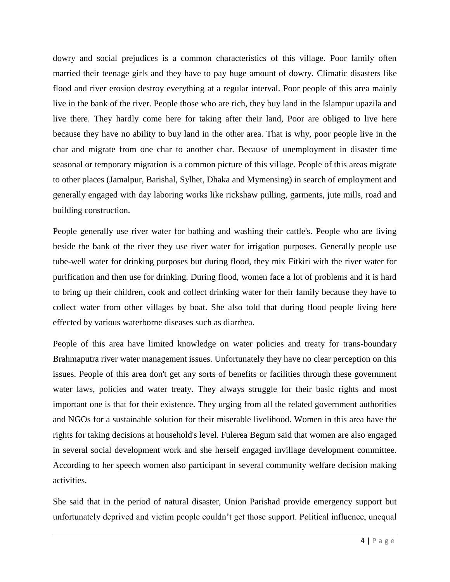dowry and social prejudices is a common characteristics of this village. Poor family often married their teenage girls and they have to pay huge amount of dowry. Climatic disasters like flood and river erosion destroy everything at a regular interval. Poor people of this area mainly live in the bank of the river. People those who are rich, they buy land in the Islampur upazila and live there. They hardly come here for taking after their land, Poor are obliged to live here because they have no ability to buy land in the other area. That is why, poor people live in the char and migrate from one char to another char. Because of unemployment in disaster time seasonal or temporary migration is a common picture of this village. People of this areas migrate to other places (Jamalpur, Barishal, Sylhet, Dhaka and Mymensing) in search of employment and generally engaged with day laboring works like rickshaw pulling, garments, jute mills, road and building construction.

People generally use river water for bathing and washing their cattle's. People who are living beside the bank of the river they use river water for irrigation purposes. Generally people use tube-well water for drinking purposes but during flood, they mix Fitkiri with the river water for purification and then use for drinking. During flood, women face a lot of problems and it is hard to bring up their children, cook and collect drinking water for their family because they have to collect water from other villages by boat. She also told that during flood people living here effected by various waterborne diseases such as diarrhea.

People of this area have limited knowledge on water policies and treaty for trans-boundary Brahmaputra river water management issues. Unfortunately they have no clear perception on this issues. People of this area don't get any sorts of benefits or facilities through these government water laws, policies and water treaty. They always struggle for their basic rights and most important one is that for their existence. They urging from all the related government authorities and NGOs for a sustainable solution for their miserable livelihood. Women in this area have the rights for taking decisions at household's level. Fulerea Begum said that women are also engaged in several social development work and she herself engaged invillage development committee. According to her speech women also participant in several community welfare decision making activities.

She said that in the period of natural disaster, Union Parishad provide emergency support but unfortunately deprived and victim people couldn't get those support. Political influence, unequal